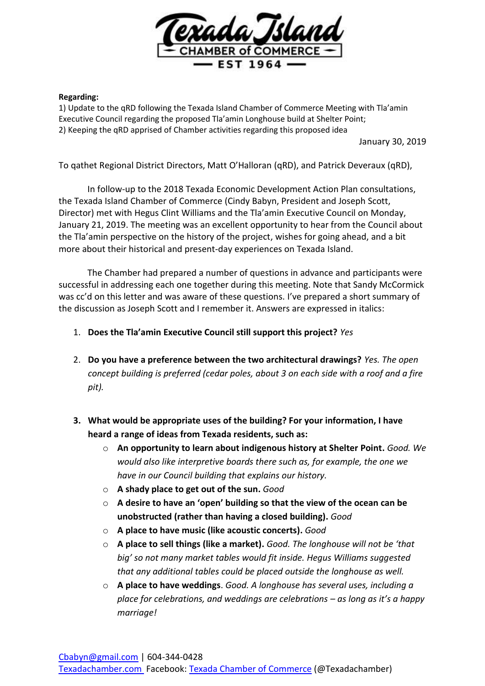

## **Regarding:**

1) Update to the qRD following the Texada Island Chamber of Commerce Meeting with Tla'amin Executive Council regarding the proposed Tla'amin Longhouse build at Shelter Point; 2) Keeping the qRD apprised of Chamber activities regarding this proposed idea

January 30, 2019

To qathet Regional District Directors, Matt O'Halloran (qRD), and Patrick Deveraux (qRD),

In follow-up to the 2018 Texada Economic Development Action Plan consultations, the Texada Island Chamber of Commerce (Cindy Babyn, President and Joseph Scott, Director) met with Hegus Clint Williams and the Tla'amin Executive Council on Monday, January 21, 2019. The meeting was an excellent opportunity to hear from the Council about the Tla'amin perspective on the history of the project, wishes for going ahead, and a bit more about their historical and present-day experiences on Texada Island.

The Chamber had prepared a number of questions in advance and participants were successful in addressing each one together during this meeting. Note that Sandy McCormick was cc'd on this letter and was aware of these questions. I've prepared a short summary of the discussion as Joseph Scott and I remember it. Answers are expressed in italics:

- 1. **Does the Tla'amin Executive Council still support this project?** *Yes*
- 2. **Do you have a preference between the two architectural drawings?** *Yes. The open concept building is preferred (cedar poles, about 3 on each side with a roof and a fire pit).*
- **3. What would be appropriate uses of the building? For your information, I have heard a range of ideas from Texada residents, such as:**
	- o **An opportunity to learn about indigenous history at Shelter Point.** *Good. We would also like interpretive boards there such as, for example, the one we have in our Council building that explains our history.*
	- o **A shady place to get out of the sun.** *Good*
	- o **A desire to have an 'open' building so that the view of the ocean can be unobstructed (rather than having a closed building).** *Good*
	- o **A place to have music (like acoustic concerts).** *Good*
	- o **A place to sell things (like a market).** *Good. The longhouse will not be 'that big' so not many market tables would fit inside. Hegus Williams suggested that any additional tables could be placed outside the longhouse as well.*
	- o **A place to have weddings**. *Good. A longhouse has several uses, including a place for celebrations, and weddings are celebrations – as long as it's a happy marriage!*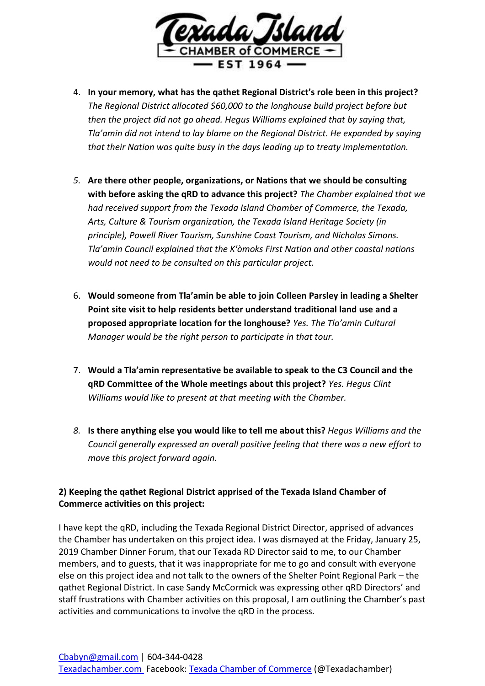

- 4. **In your memory, what has the qathet Regional District's role been in this project?** *The Regional District allocated \$60,000 to the longhouse build project before but then the project did not go ahead. Hegus Williams explained that by saying that, Tla'amin did not intend to lay blame on the Regional District. He expanded by saying that their Nation was quite busy in the days leading up to treaty implementation.*
- *5.* **Are there other people, organizations, or Nations that we should be consulting with before asking the qRD to advance this project?** *The Chamber explained that we had received support from the Texada Island Chamber of Commerce, the Texada, Arts, Culture & Tourism organization, the Texada Island Heritage Society (in principle), Powell River Tourism, Sunshine Coast Tourism, and Nicholas Simons. Tla'amin Council explained that the K'òmoks First Nation and other coastal nations would not need to be consulted on this particular project.*
- 6. **Would someone from Tla'amin be able to join Colleen Parsley in leading a Shelter Point site visit to help residents better understand traditional land use and a proposed appropriate location for the longhouse?** *Yes. The Tla'amin Cultural Manager would be the right person to participate in that tour.*
- 7. **Would a Tla'amin representative be available to speak to the C3 Council and the qRD Committee of the Whole meetings about this project?** *Yes. Hegus Clint Williams would like to present at that meeting with the Chamber.*
- *8.* **Is there anything else you would like to tell me about this?** *Hegus Williams and the Council generally expressed an overall positive feeling that there was a new effort to move this project forward again.*

## **2) Keeping the qathet Regional District apprised of the Texada Island Chamber of Commerce activities on this project:**

I have kept the qRD, including the Texada Regional District Director, apprised of advances the Chamber has undertaken on this project idea. I was dismayed at the Friday, January 25, 2019 Chamber Dinner Forum, that our Texada RD Director said to me, to our Chamber members, and to guests, that it was inappropriate for me to go and consult with everyone else on this project idea and not talk to the owners of the Shelter Point Regional Park – the qathet Regional District. In case Sandy McCormick was expressing other qRD Directors' and staff frustrations with Chamber activities on this proposal, I am outlining the Chamber's past activities and communications to involve the qRD in the process.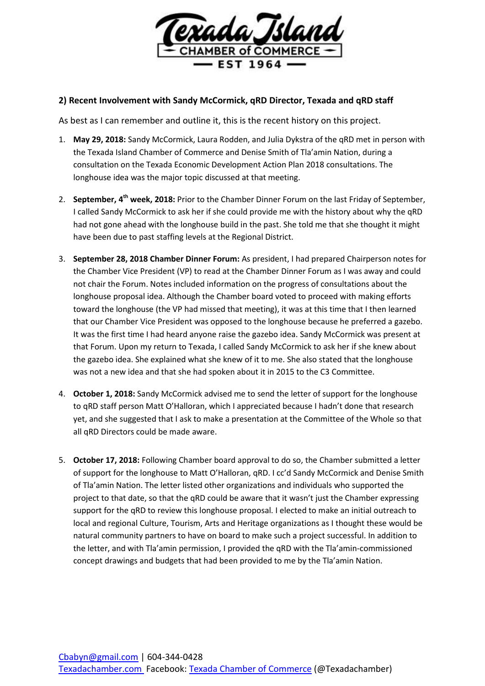

## **2) Recent Involvement with Sandy McCormick, qRD Director, Texada and qRD staff**

As best as I can remember and outline it, this is the recent history on this project.

- 1. **May 29, 2018:** Sandy McCormick, Laura Rodden, and Julia Dykstra of the qRD met in person with the Texada Island Chamber of Commerce and Denise Smith of Tla'amin Nation, during a consultation on the Texada Economic Development Action Plan 2018 consultations. The longhouse idea was the major topic discussed at that meeting.
- 2. **September, 4th week, 2018:** Prior to the Chamber Dinner Forum on the last Friday of September, I called Sandy McCormick to ask her if she could provide me with the history about why the qRD had not gone ahead with the longhouse build in the past. She told me that she thought it might have been due to past staffing levels at the Regional District.
- 3. **September 28, 2018 Chamber Dinner Forum:** As president, I had prepared Chairperson notes for the Chamber Vice President (VP) to read at the Chamber Dinner Forum as I was away and could not chair the Forum. Notes included information on the progress of consultations about the longhouse proposal idea. Although the Chamber board voted to proceed with making efforts toward the longhouse (the VP had missed that meeting), it was at this time that I then learned that our Chamber Vice President was opposed to the longhouse because he preferred a gazebo. It was the first time I had heard anyone raise the gazebo idea. Sandy McCormick was present at that Forum. Upon my return to Texada, I called Sandy McCormick to ask her if she knew about the gazebo idea. She explained what she knew of it to me. She also stated that the longhouse was not a new idea and that she had spoken about it in 2015 to the C3 Committee.
- 4. **October 1, 2018:** Sandy McCormick advised me to send the letter of support for the longhouse to qRD staff person Matt O'Halloran, which I appreciated because I hadn't done that research yet, and she suggested that I ask to make a presentation at the Committee of the Whole so that all qRD Directors could be made aware.
- 5. **October 17, 2018:** Following Chamber board approval to do so, the Chamber submitted a letter of support for the longhouse to Matt O'Halloran, qRD. I cc'd Sandy McCormick and Denise Smith of Tla'amin Nation. The letter listed other organizations and individuals who supported the project to that date, so that the qRD could be aware that it wasn't just the Chamber expressing support for the qRD to review this longhouse proposal. I elected to make an initial outreach to local and regional Culture, Tourism, Arts and Heritage organizations as I thought these would be natural community partners to have on board to make such a project successful. In addition to the letter, and with Tla'amin permission, I provided the qRD with the Tla'amin-commissioned concept drawings and budgets that had been provided to me by the Tla'amin Nation.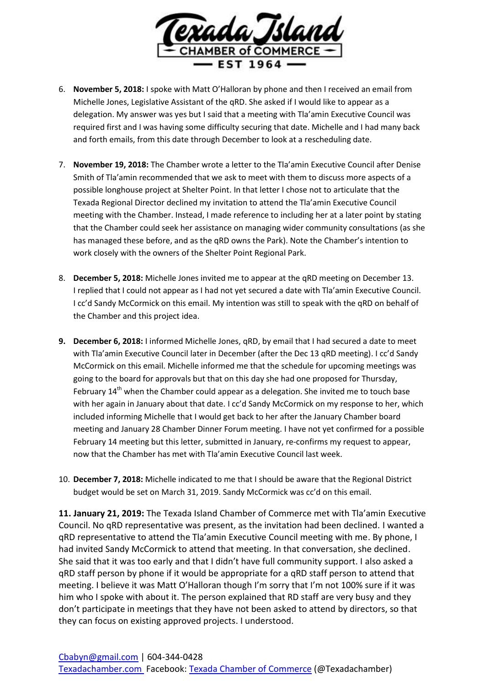

- 6. **November 5, 2018:** I spoke with Matt O'Halloran by phone and then I received an email from Michelle Jones, Legislative Assistant of the qRD. She asked if I would like to appear as a delegation. My answer was yes but I said that a meeting with Tla'amin Executive Council was required first and I was having some difficulty securing that date. Michelle and I had many back and forth emails, from this date through December to look at a rescheduling date.
- 7. **November 19, 2018:** The Chamber wrote a letter to the Tla'amin Executive Council after Denise Smith of Tla'amin recommended that we ask to meet with them to discuss more aspects of a possible longhouse project at Shelter Point. In that letter I chose not to articulate that the Texada Regional Director declined my invitation to attend the Tla'amin Executive Council meeting with the Chamber. Instead, I made reference to including her at a later point by stating that the Chamber could seek her assistance on managing wider community consultations (as she has managed these before, and as the qRD owns the Park). Note the Chamber's intention to work closely with the owners of the Shelter Point Regional Park.
- 8. **December 5, 2018:** Michelle Jones invited me to appear at the qRD meeting on December 13. I replied that I could not appear as I had not yet secured a date with Tla'amin Executive Council. I cc'd Sandy McCormick on this email. My intention was still to speak with the qRD on behalf of the Chamber and this project idea.
- **9. December 6, 2018:** I informed Michelle Jones, qRD, by email that I had secured a date to meet with Tla'amin Executive Council later in December (after the Dec 13 qRD meeting). I cc'd Sandy McCormick on this email. Michelle informed me that the schedule for upcoming meetings was going to the board for approvals but that on this day she had one proposed for Thursday, February  $14<sup>th</sup>$  when the Chamber could appear as a delegation. She invited me to touch base with her again in January about that date. I cc'd Sandy McCormick on my response to her, which included informing Michelle that I would get back to her after the January Chamber board meeting and January 28 Chamber Dinner Forum meeting. I have not yet confirmed for a possible February 14 meeting but this letter, submitted in January, re-confirms my request to appear, now that the Chamber has met with Tla'amin Executive Council last week.
- 10. **December 7, 2018:** Michelle indicated to me that I should be aware that the Regional District budget would be set on March 31, 2019. Sandy McCormick was cc'd on this email.

**11. January 21, 2019:** The Texada Island Chamber of Commerce met with Tla'amin Executive Council. No qRD representative was present, as the invitation had been declined. I wanted a qRD representative to attend the Tla'amin Executive Council meeting with me. By phone, I had invited Sandy McCormick to attend that meeting. In that conversation, she declined. She said that it was too early and that I didn't have full community support. I also asked a qRD staff person by phone if it would be appropriate for a qRD staff person to attend that meeting. I believe it was Matt O'Halloran though I'm sorry that I'm not 100% sure if it was him who I spoke with about it. The person explained that RD staff are very busy and they don't participate in meetings that they have not been asked to attend by directors, so that they can focus on existing approved projects. I understood.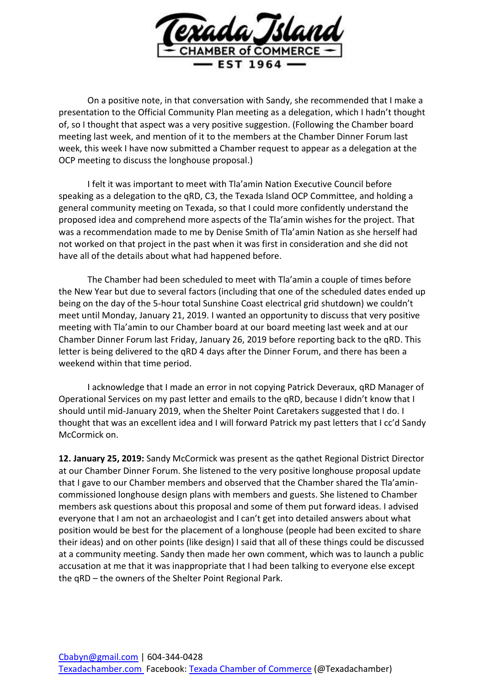

On a positive note, in that conversation with Sandy, she recommended that I make a presentation to the Official Community Plan meeting as a delegation, which I hadn't thought of, so I thought that aspect was a very positive suggestion. (Following the Chamber board meeting last week, and mention of it to the members at the Chamber Dinner Forum last week, this week I have now submitted a Chamber request to appear as a delegation at the OCP meeting to discuss the longhouse proposal.)

I felt it was important to meet with Tla'amin Nation Executive Council before speaking as a delegation to the qRD, C3, the Texada Island OCP Committee, and holding a general community meeting on Texada, so that I could more confidently understand the proposed idea and comprehend more aspects of the Tla'amin wishes for the project. That was a recommendation made to me by Denise Smith of Tla'amin Nation as she herself had not worked on that project in the past when it was first in consideration and she did not have all of the details about what had happened before.

The Chamber had been scheduled to meet with Tla'amin a couple of times before the New Year but due to several factors (including that one of the scheduled dates ended up being on the day of the 5-hour total Sunshine Coast electrical grid shutdown) we couldn't meet until Monday, January 21, 2019. I wanted an opportunity to discuss that very positive meeting with Tla'amin to our Chamber board at our board meeting last week and at our Chamber Dinner Forum last Friday, January 26, 2019 before reporting back to the qRD. This letter is being delivered to the qRD 4 days after the Dinner Forum, and there has been a weekend within that time period.

I acknowledge that I made an error in not copying Patrick Deveraux, qRD Manager of Operational Services on my past letter and emails to the qRD, because I didn't know that I should until mid-January 2019, when the Shelter Point Caretakers suggested that I do. I thought that was an excellent idea and I will forward Patrick my past letters that I cc'd Sandy McCormick on.

**12. January 25, 2019:** Sandy McCormick was present as the qathet Regional District Director at our Chamber Dinner Forum. She listened to the very positive longhouse proposal update that I gave to our Chamber members and observed that the Chamber shared the Tla'amincommissioned longhouse design plans with members and guests. She listened to Chamber members ask questions about this proposal and some of them put forward ideas. I advised everyone that I am not an archaeologist and I can't get into detailed answers about what position would be best for the placement of a longhouse (people had been excited to share their ideas) and on other points (like design) I said that all of these things could be discussed at a community meeting. Sandy then made her own comment, which was to launch a public accusation at me that it was inappropriate that I had been talking to everyone else except the qRD – the owners of the Shelter Point Regional Park.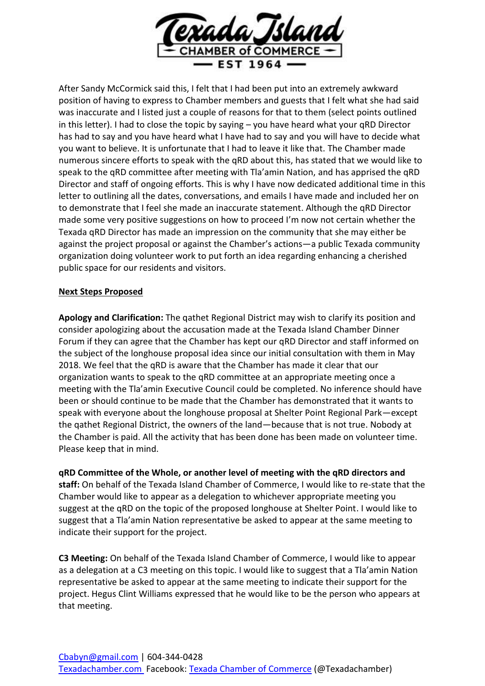

After Sandy McCormick said this, I felt that I had been put into an extremely awkward position of having to express to Chamber members and guests that I felt what she had said was inaccurate and I listed just a couple of reasons for that to them (select points outlined in this letter). I had to close the topic by saying – you have heard what your qRD Director has had to say and you have heard what I have had to say and you will have to decide what you want to believe. It is unfortunate that I had to leave it like that. The Chamber made numerous sincere efforts to speak with the qRD about this, has stated that we would like to speak to the qRD committee after meeting with Tla'amin Nation, and has apprised the qRD Director and staff of ongoing efforts. This is why I have now dedicated additional time in this letter to outlining all the dates, conversations, and emails I have made and included her on to demonstrate that I feel she made an inaccurate statement. Although the qRD Director made some very positive suggestions on how to proceed I'm now not certain whether the Texada qRD Director has made an impression on the community that she may either be against the project proposal or against the Chamber's actions—a public Texada community organization doing volunteer work to put forth an idea regarding enhancing a cherished public space for our residents and visitors.

## **Next Steps Proposed**

**Apology and Clarification:** The qathet Regional District may wish to clarify its position and consider apologizing about the accusation made at the Texada Island Chamber Dinner Forum if they can agree that the Chamber has kept our qRD Director and staff informed on the subject of the longhouse proposal idea since our initial consultation with them in May 2018. We feel that the qRD is aware that the Chamber has made it clear that our organization wants to speak to the qRD committee at an appropriate meeting once a meeting with the Tla'amin Executive Council could be completed. No inference should have been or should continue to be made that the Chamber has demonstrated that it wants to speak with everyone about the longhouse proposal at Shelter Point Regional Park—except the qathet Regional District, the owners of the land—because that is not true. Nobody at the Chamber is paid. All the activity that has been done has been made on volunteer time. Please keep that in mind.

**qRD Committee of the Whole, or another level of meeting with the qRD directors and staff:** On behalf of the Texada Island Chamber of Commerce, I would like to re-state that the Chamber would like to appear as a delegation to whichever appropriate meeting you suggest at the qRD on the topic of the proposed longhouse at Shelter Point. I would like to suggest that a Tla'amin Nation representative be asked to appear at the same meeting to indicate their support for the project.

**C3 Meeting:** On behalf of the Texada Island Chamber of Commerce, I would like to appear as a delegation at a C3 meeting on this topic. I would like to suggest that a Tla'amin Nation representative be asked to appear at the same meeting to indicate their support for the project. Hegus Clint Williams expressed that he would like to be the person who appears at that meeting.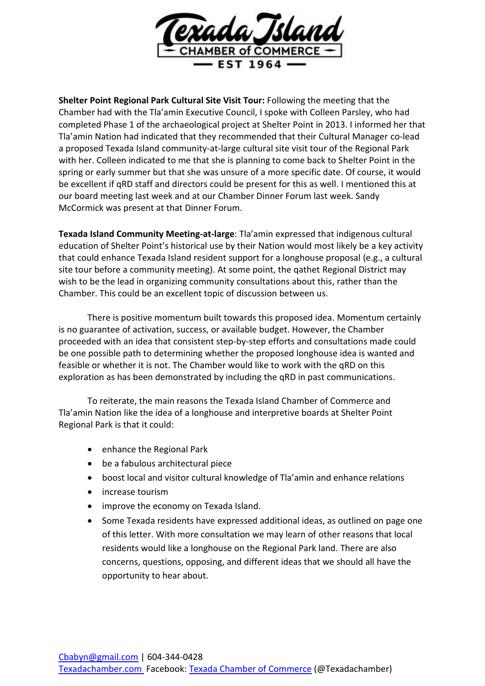

**Shelter Point Regional Park Cultural Site Visit Tour:** Following the meeting that the Chamber had with the Tla'amin Executive Council, I spoke with Colleen Parsley, who had completed Phase 1 of the archaeological project at Shelter Point in 2013. I informed her that Tla'amin Nation had indicated that they recommended that their Cultural Manager co-lead a proposed Texada Island community-at-large cultural site visit tour of the Regional Park with her. Colleen indicated to me that she is planning to come back to Shelter Point in the spring or early summer but that she was unsure of a more specific date. Of course, it would be excellent if qRD staff and directors could be present for this as well. I mentioned this at our board meeting last week and at our Chamber Dinner Forum last week. Sandy McCormick was present at that Dinner Forum.

**Texada Island Community Meeting-at-large**: Tla'amin expressed that indigenous cultural education of Shelter Point's historical use by their Nation would most likely be a key activity that could enhance Texada Island resident support for a longhouse proposal (e.g., a cultural site tour before a community meeting). At some point, the qathet Regional District may wish to be the lead in organizing community consultations about this, rather than the Chamber. This could be an excellent topic of discussion between us.

There is positive momentum built towards this proposed idea. Momentum certainly is no guarantee of activation, success, or available budget. However, the Chamber proceeded with an idea that consistent step-by-step efforts and consultations made could be one possible path to determining whether the proposed longhouse idea is wanted and feasible or whether it is not. The Chamber would like to work with the qRD on this exploration as has been demonstrated by including the qRD in past communications.

To reiterate, the main reasons the Texada Island Chamber of Commerce and Tla'amin Nation like the idea of a longhouse and interpretive boards at Shelter Point Regional Park is that it could:

- enhance the Regional Park
- be a fabulous architectural piece
- boost local and visitor cultural knowledge of Tla'amin and enhance relations
- increase tourism
- improve the economy on Texada Island.
- Some Texada residents have expressed additional ideas, as outlined on page one of this letter. With more consultation we may learn of other reasons that local residents would like a longhouse on the Regional Park land. There are also concerns, questions, opposing, and different ideas that we should all have the opportunity to hear about.